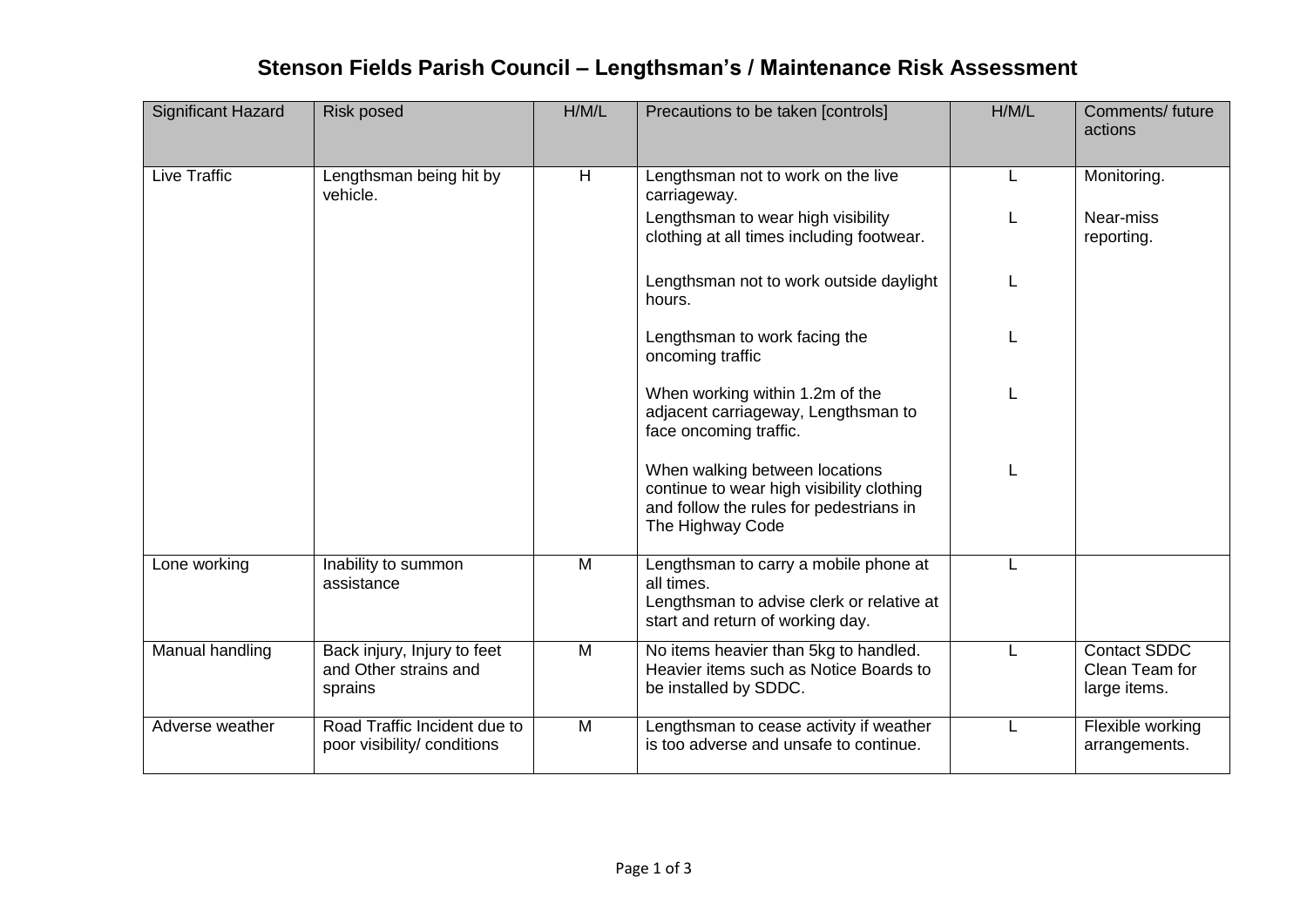## **Stenson Fields Parish Council – Lengthsman's / Maintenance Risk Assessment**

| <b>Significant Hazard</b> | <b>Risk posed</b>                                               | H/M/L | Precautions to be taken [controls]                                                                                                         | H/M/L | Comments/ future<br>actions                           |
|---------------------------|-----------------------------------------------------------------|-------|--------------------------------------------------------------------------------------------------------------------------------------------|-------|-------------------------------------------------------|
| Live Traffic              | Lengthsman being hit by<br>vehicle.                             | H     | Lengthsman not to work on the live<br>carriageway.                                                                                         | L     | Monitoring.                                           |
|                           |                                                                 |       | Lengthsman to wear high visibility<br>clothing at all times including footwear.                                                            |       | Near-miss<br>reporting.                               |
|                           |                                                                 |       | Lengthsman not to work outside daylight<br>hours.                                                                                          |       |                                                       |
|                           |                                                                 |       | Lengthsman to work facing the<br>oncoming traffic                                                                                          |       |                                                       |
|                           |                                                                 |       | When working within 1.2m of the<br>adjacent carriageway, Lengthsman to<br>face oncoming traffic.                                           |       |                                                       |
|                           |                                                                 |       | When walking between locations<br>continue to wear high visibility clothing<br>and follow the rules for pedestrians in<br>The Highway Code |       |                                                       |
| Lone working              | Inability to summon<br>assistance                               | M     | Lengthsman to carry a mobile phone at<br>all times.<br>Lengthsman to advise clerk or relative at<br>start and return of working day.       | L     |                                                       |
| Manual handling           | Back injury, Injury to feet<br>and Other strains and<br>sprains | M     | No items heavier than 5kg to handled.<br>Heavier items such as Notice Boards to<br>be installed by SDDC.                                   | L     | <b>Contact SDDC</b><br>Clean Team for<br>large items. |
| Adverse weather           | Road Traffic Incident due to<br>poor visibility/ conditions     | M     | Lengthsman to cease activity if weather<br>is too adverse and unsafe to continue.                                                          | L     | Flexible working<br>arrangements.                     |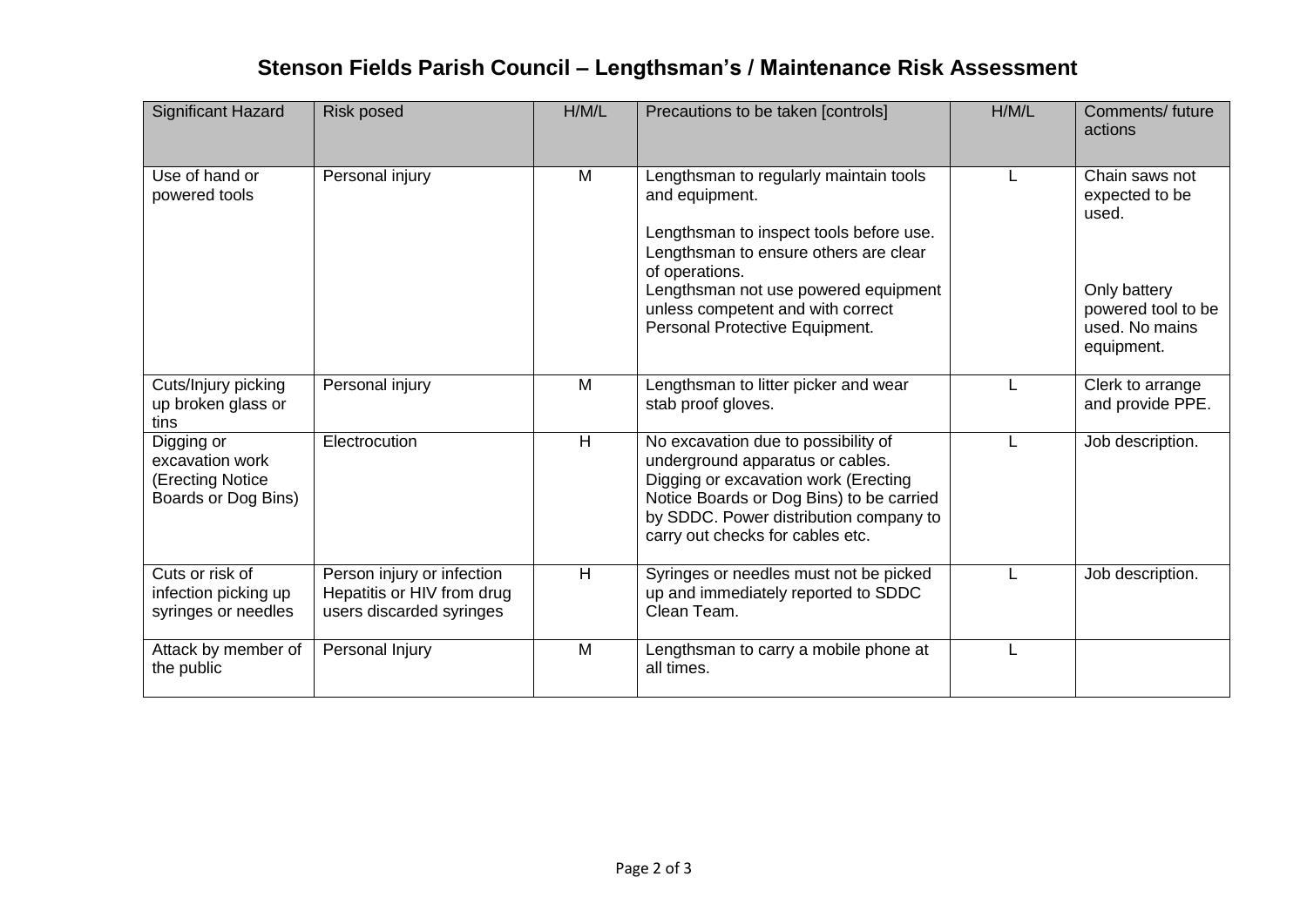## **Stenson Fields Parish Council – Lengthsman's / Maintenance Risk Assessment**

| Significant Hazard                                                       | <b>Risk posed</b>                                                                    | H/M/L | Precautions to be taken [controls]                                                                                                                                                                                                                                            | H/M/L | Comments/ future<br>actions                                                                                     |
|--------------------------------------------------------------------------|--------------------------------------------------------------------------------------|-------|-------------------------------------------------------------------------------------------------------------------------------------------------------------------------------------------------------------------------------------------------------------------------------|-------|-----------------------------------------------------------------------------------------------------------------|
| Use of hand or<br>powered tools                                          | Personal injury                                                                      | M     | Lengthsman to regularly maintain tools<br>and equipment.<br>Lengthsman to inspect tools before use.<br>Lengthsman to ensure others are clear<br>of operations.<br>Lengthsman not use powered equipment<br>unless competent and with correct<br>Personal Protective Equipment. |       | Chain saws not<br>expected to be<br>used.<br>Only battery<br>powered tool to be<br>used. No mains<br>equipment. |
| Cuts/Injury picking<br>up broken glass or<br>tins                        | Personal injury                                                                      | M     | Lengthsman to litter picker and wear<br>stab proof gloves.                                                                                                                                                                                                                    |       | Clerk to arrange<br>and provide PPE.                                                                            |
| Digging or<br>excavation work<br>(Erecting Notice<br>Boards or Dog Bins) | Electrocution                                                                        | H     | No excavation due to possibility of<br>underground apparatus or cables.<br>Digging or excavation work (Erecting<br>Notice Boards or Dog Bins) to be carried<br>by SDDC. Power distribution company to<br>carry out checks for cables etc.                                     |       | Job description.                                                                                                |
| Cuts or risk of<br>infection picking up<br>syringes or needles           | Person injury or infection<br>Hepatitis or HIV from drug<br>users discarded syringes | H     | Syringes or needles must not be picked<br>up and immediately reported to SDDC<br>Clean Team.                                                                                                                                                                                  |       | Job description.                                                                                                |
| Attack by member of<br>the public                                        | Personal Injury                                                                      | M     | Lengthsman to carry a mobile phone at<br>all times.                                                                                                                                                                                                                           |       |                                                                                                                 |